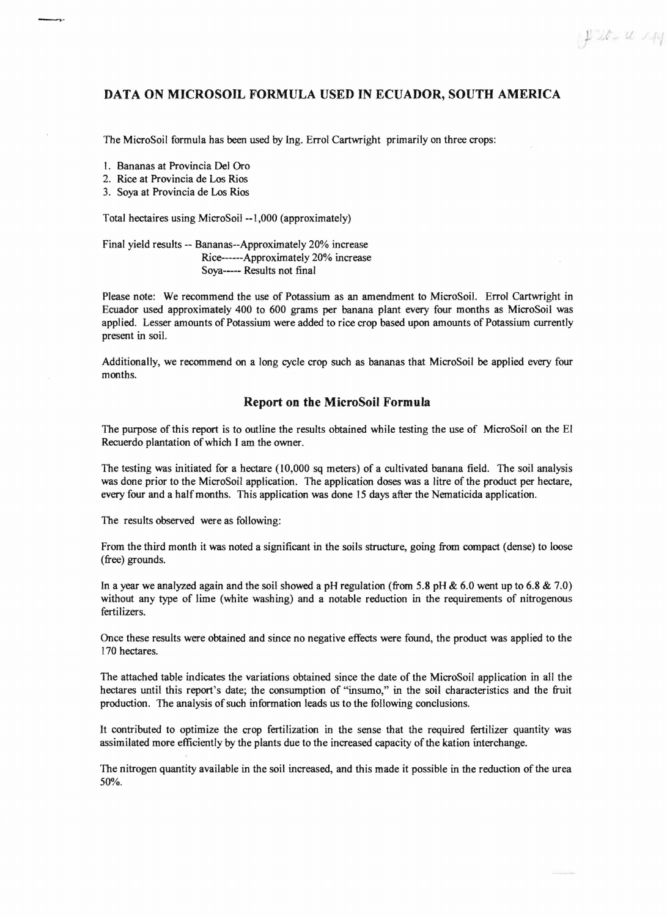## **DATA ON MICROSOIL FORMULA USED IN ECUADOR, SOUTH AMERICA**

The MicroSoil formula has been used by lng. Errol Cartwright primarily on three crops:

I. Bananas at Provincia Del Oro

2. Rice at Provincia de Los Rios

3. Soya at Provincia de Los Rios

Total hectaires using MicroSoil --1,000 (approximately)

Final yield results -- Bananas--Approximately 20% increase Rice------Approximately 20% increase Soya----- Results not final

Please note: We recommend the use of Potassium as an amendment to MicroSoil. Errol Cartwright in Ecuador used approximately 400 to 600 grams per banana plant every four months as MicroSoil was applied. Lesser amounts of Potassium were added to rice crop based upon amounts of Potassium currently present in soil.

Additionally, we recommend on a long cycle crop such as bananas that MicroSoil be applied every four months.

## **Report on the MicroSoil Formula**

The purpose of this report is to outline the results obtained while testing the use of MicroSoil on the EI Recuerdo plantation of which I am the owner.

The testing was initiated for a hectare (10,000 sq meters) of a cultivated banana field. The soil analysis was done prior to the MicroSoil application. The application doses was a litre of the product per hectare, every four and a half months. This application was done IS days after the Nematicida application.

The results observed were as following:

From the third month it was noted a significant in the soils structure, going from compact (dense) to loose (free) grounds.

In a year we analyzed again and the soil showed a pH regulation (from 5.8 pH  $\&$  6.0 went up to 6.8  $\&$  7.0) without any type of lime (white washing) and a notable reduction in the requirements of nitrogenous fertilizers.

Once these results were obtained and since no negative effects were found, the product was applied to the 170 hectares.

The attached table indicates the variations obtained since the date of the MicroSoil application in all the hectares until this report's date; the consumption of "insumo," in the soil characteristics and the fruit production. The analysis of such information leads us to the following conclusions.

It contributed to optimize the crop fertilization in the sense that the required fertilizer quantity was assimilated more efficiently by the plants due to the increased capacity ofthe kation interchange.

The nitrogen quantity available in the soil increased, and this made it possible in the reduction of the urea 50%.